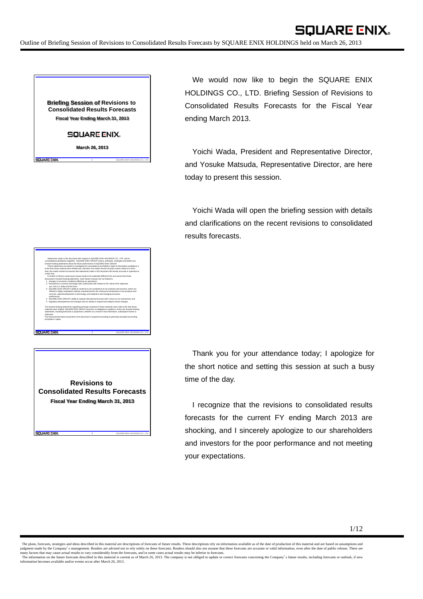**Briefing Session of Revisions to Consolidated Results Forecasts Fiscal Year Ending March 31, 2013**

**SQUARE ENIX.** 

**March 26, 2013**

Statements made in this document with respect to SQUARE ENIX HOLDINGS CO., LTD. and its consolidated subsidiaries' (together, "SQUARE ENIX GROUP") plans, estimates, strategies and beliefs are forward-looking statements about the future performance of SQUARE ENIX GROUP. These statements are based on management's assumptions and beliefs in light of information available to it at the time these material were drafted and, therefore, the reader should not place undue reliance on them. Also, the reader should not assume that statements made in this document will remain accurate or operative at

A number of factors could cause actual results to be materially different from and worse than those discussed in forward-looking statements. Such factors include, but not limited to: 1. changes in economic conditions affecting our operations;

3. SQUARE ENIX GROUP's ability to continue to win acceptance of our products and services, which are offered in highly competitive markets characterized by the continuous introduction of new products and services, rapid developments in technology, and subjective and changing consumer

4. SQUARE ENIX GROUP's ability to expand international success with a focus on our businesses; and 5. regulatory developments and changes and our ability to respond and adapt to those changes. The forward-looking statements regarding earnings contained in these materials were valid at the time these materials were drafted. SQUARE ENIX GROUP assumes no obligation to update or revise any forward-looking statements, including forecasts or projections, whether as a result of new information, subsequent events or

The financial information presented in this document is prepared according to generally accepted accounting

2. fluctuations in currency exchange rates, particularly with respect to the value of the Japanese

a later time.

SQUARE ENIX

otherwise.

**CILIADE END** 

iQUARE ENIX

principles in Japan.

preferences;

yen, the U.S. dollar and the Euro;

**1** SQUARE ENIX HOLDINGS CO., LTD.

**2** SQUARE ENIX HOLDINGS CO., LTD.

**3** SQUARE ENIX HOLDINGS CO., LTD.

We would now like to begin the SQUARE ENIX HOLDINGS CO., LTD. Briefing Session of Revisions to Consolidated Results Forecasts for the Fiscal Year ending March 2013.

**SQUARE ENIX.** 

Yoichi Wada, President and Representative Director, and Yosuke Matsuda, Representative Director, are here today to present this session.

Yoichi Wada will open the briefing session with details and clarifications on the recent revisions to consolidated results forecasts.

**Revisions to Consolidated Results Forecasts Fiscal Year Ending March 31, 2013**

Thank you for your attendance today; I apologize for the short notice and setting this session at such a busy time of the day.

I recognize that the revisions to consolidated results forecasts for the current FY ending March 2013 are shocking, and I sincerely apologize to our shareholders and investors for the poor performance and not meeting your expectations.

The plans, forecasts, strategies and ideas described in this material are descriptions of forecasts of future results. These descriptions rely on information available as of the date of production of this material and are judgment made by the Company's management. Readers are advised not to rely solely on these forecasts. Readers should also not assume that these forecasts are accurate or valid information, even after the date of public rel information becomes available and/or events occur after March 26, 2013.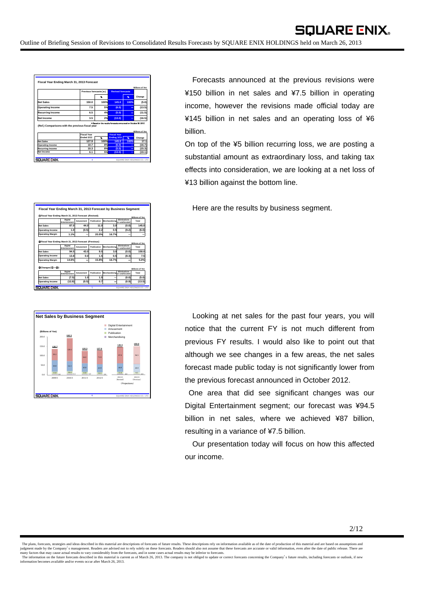|                                                                                                                                          |                               |      |                                                                          |      | <b>Billions of Yen</b>                             |
|------------------------------------------------------------------------------------------------------------------------------------------|-------------------------------|------|--------------------------------------------------------------------------|------|----------------------------------------------------|
|                                                                                                                                          | Previous forecasts ( $\ast$ ) |      | <b>Revised forecasts</b>                                                 |      |                                                    |
|                                                                                                                                          |                               | ×.   |                                                                          | %    | Change                                             |
| <b>Net Sales</b>                                                                                                                         | 150.0                         | 100% | 145.0                                                                    | 100% | (5.0)                                              |
| <b>Operating Income</b>                                                                                                                  | 7.5                           | 5%   | (6.0)                                                                    | -    | (13.5)                                             |
| <b>Recurring Income</b>                                                                                                                  | 6.5                           | 4%   | (5.0)                                                                    | -    | (11.5)                                             |
|                                                                                                                                          |                               |      |                                                                          |      |                                                    |
|                                                                                                                                          | 3.5                           | 2%   | (13.0)<br>* Based on the results forecasts announced on October 30, 2012 | ۰    |                                                    |
|                                                                                                                                          | <b>Fiscal Year</b>            |      | <b>Fiscal Year</b>                                                       |      |                                                    |
|                                                                                                                                          | Fnded 3/12                    | x    | Ending 3/13                                                              | 弘    | Change                                             |
|                                                                                                                                          | 127.9                         | 100% | 145.0                                                                    | 100% |                                                    |
|                                                                                                                                          | 10.7                          | 8%   | (6.0)                                                                    | ۰    | (16.7)                                             |
| <b>Net Income</b><br>(Ref.) Comparisons with the previous fiscal year<br><b>Net Sales</b><br>Operating Income<br><b>Recurring Income</b> | 10.3                          | 8%   | (5.0)                                                                    | Ξ    | (16.5)<br><b>Billions of Yen</b><br>17.1<br>(15.3) |

Forecasts announced at the previous revisions were ¥150 billion in net sales and ¥7.5 billion in operating income, however the revisions made official today are ¥145 billion in net sales and an operating loss of ¥6 billion.

On top of the ¥5 billion recurring loss, we are posting a substantial amount as extraordinary loss, and taking tax effects into consideration, we are looking at a net loss of ¥13 billion against the bottom line.

Here are the results by business segment.

| (DFiscal Year Ending March 31, 2013 Forecast (Revised)                                                                    |                                 |           |             |               |                                       | <b>Billions of Yen</b>                         |
|---------------------------------------------------------------------------------------------------------------------------|---------------------------------|-----------|-------------|---------------|---------------------------------------|------------------------------------------------|
|                                                                                                                           | Digital<br><b>Entertainment</b> | Amusement | Publication | Merchandising | <b>Fliminations</b><br>or unallocated | Total                                          |
| <b>Net Sales</b>                                                                                                          | 87.0                            | 44.0      | 11.0        | 3.0           | (0.0)                                 | 145.0                                          |
| Operating Income                                                                                                          | 1.0                             | (0.5)     | 2.2         | 0.5           | (9.2)                                 | (6.0)                                          |
| Operating Margin                                                                                                          | 1.1%                            |           | 20.0%       | 16.7%         |                                       |                                                |
|                                                                                                                           | Digital<br><b>Entertainment</b> | Amusement | Publication | Merchandising | <b>Fliminations</b><br>or unallocated | Total                                          |
|                                                                                                                           |                                 |           |             |               |                                       |                                                |
|                                                                                                                           | 94.5                            | 43.0      | 9.5         | 3.0           | (0.0)                                 |                                                |
|                                                                                                                           | 13.8                            | 0.0       | 1.5         | 0.5           | (8.3)                                 |                                                |
| <b>OFiscal Year Ending March 31, 2013 Forecast (Previous)</b><br><b>Net Sales</b><br>Operating Income<br>Operating Margin | 14.6%                           |           | 15.8%       | 16.7%         |                                       | <b>Billions of Yen</b><br>150.0<br>7.5<br>5.0% |
|                                                                                                                           |                                 |           |             |               |                                       |                                                |
|                                                                                                                           | Digital<br><b>Entertainment</b> | Amusement | Publication | Merchandising | <b>Fliminations</b><br>or unallocated | Total                                          |
| Changes (D-O)<br><b>Net Sales</b>                                                                                         | (7.5)                           | 1.0       | 1.5         |               | (0.0)                                 | <b>Billions of Yen</b><br>(5.0)                |



Looking at net sales for the past four years, you will notice that the current FY is not much different from previous FY results. I would also like to point out that although we see changes in a few areas, the net sales forecast made public today is not significantly lower from the previous forecast announced in October 2012.

One area that did see significant changes was our Digital Entertainment segment; our forecast was ¥94.5 billion in net sales, where we achieved ¥87 billion, resulting in a variance of ¥7.5 billion.

Our presentation today will focus on how this affected our income.

The plans, forecasts, strategies and ideas described in this material are descriptions of forecasts of future results. These descriptions rely on information available as of the date of production of this material and are judgment made by the Company's management. Readers are advised not to rely solely on these forecasts. Readers should also not assume that these forecasts are accurate or valid information, even after the date of public rel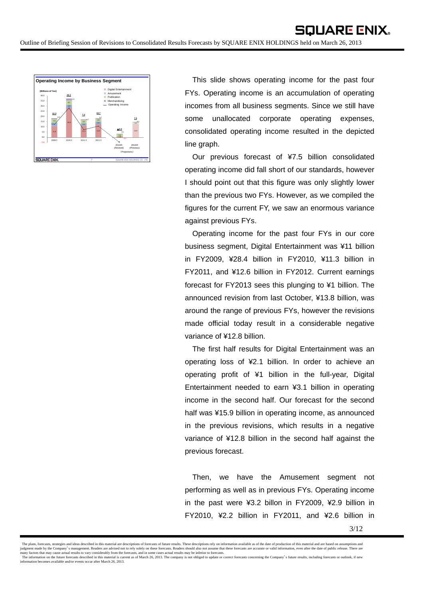

This slide shows operating income for the past four FYs. Operating income is an accumulation of operating incomes from all business segments. Since we still have some unallocated corporate operating expenses, consolidated operating income resulted in the depicted line graph.

Our previous forecast of ¥7.5 billion consolidated operating income did fall short of our standards, however I should point out that this figure was only slightly lower than the previous two FYs. However, as we compiled the figures for the current FY, we saw an enormous variance against previous FYs.

Operating income for the past four FYs in our core business segment, Digital Entertainment was ¥11 billion in FY2009, ¥28.4 billion in FY2010, ¥11.3 billion in FY2011, and ¥12.6 billion in FY2012. Current earnings forecast for FY2013 sees this plunging to ¥1 billion. The announced revision from last October, ¥13.8 billion, was around the range of previous FYs, however the revisions made official today result in a considerable negative variance of ¥12.8 billion.

The first half results for Digital Entertainment was an operating loss of ¥2.1 billion. In order to achieve an operating profit of ¥1 billion in the full-year, Digital Entertainment needed to earn ¥3.1 billion in operating income in the second half. Our forecast for the second half was ¥15.9 billion in operating income, as announced in the previous revisions, which results in a negative variance of ¥12.8 billion in the second half against the previous forecast.

Then, we have the Amusement segment not performing as well as in previous FYs. Operating income in the past were ¥3.2 billon in FY2009, ¥2.9 billion in FY2010, ¥2.2 billion in FY2011, and ¥2.6 billion in

The plans, forecasts, strategies and ideas described in this material are descriptions of forecasts of future results. These descriptions rely on information available as of the date of production of this material and are judgment made by the Company's management. Readers are advised not to rely solely on these forecasts. Readers should also not assume that these forecasts are accurate or valid information, even after the date of public rel information becomes available and/or events occur after March 26, 2013.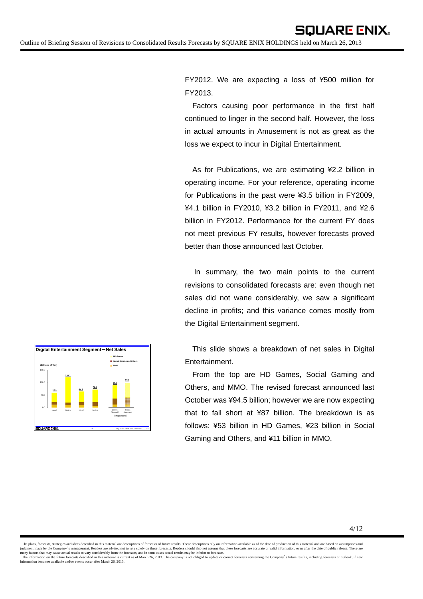FY2012. We are expecting a loss of ¥500 million for FY2013.

Factors causing poor performance in the first half continued to linger in the second half. However, the loss in actual amounts in Amusement is not as great as the loss we expect to incur in Digital Entertainment.

As for Publications, we are estimating ¥2.2 billion in operating income. For your reference, operating income for Publications in the past were ¥3.5 billion in FY2009, ¥4.1 billion in FY2010, ¥3.2 billion in FY2011, and ¥2.6 billion in FY2012. Performance for the current FY does not meet previous FY results, however forecasts proved better than those announced last October.

In summary, the two main points to the current revisions to consolidated forecasts are: even though net sales did not wane considerably, we saw a significant decline in profits; and this variance comes mostly from the Digital Entertainment segment.

This slide shows a breakdown of net sales in Digital Entertainment.

From the top are HD Games, Social Gaming and Others, and MMO. The revised forecast announced last October was ¥94.5 billion; however we are now expecting that to fall short at ¥87 billion. The breakdown is as follows: ¥53 billion in HD Games, ¥23 billion in Social Gaming and Others, and ¥11 billion in MMO.



<sup>4/12</sup>

The plans, forecasts, strategies and ideas described in this material are descriptions of forecasts of future results. These descriptions rely on information available as of the date of production of this material and are judgment made by the Company's management. Readers are advised not to rely solely on these forecasts. Readers should also not assume that these forecasts are accurate or valid information, even after the date of public rel information becomes available and/or events occur after March 26, 2013.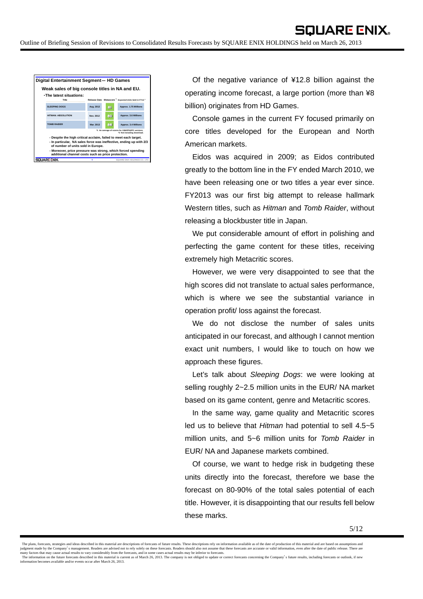|                                                                                                                    | Digital Entertainment Segment-HD Games                                                                                                                                        |           |    |                                                                                 |  |  |  |  |  |
|--------------------------------------------------------------------------------------------------------------------|-------------------------------------------------------------------------------------------------------------------------------------------------------------------------------|-----------|----|---------------------------------------------------------------------------------|--|--|--|--|--|
|                                                                                                                    | Weak sales of big console titles in NA and EU.                                                                                                                                |           |    |                                                                                 |  |  |  |  |  |
|                                                                                                                    | . The latest situations:<br>Title                                                                                                                                             |           |    | Release Date Metascore " Expected Units Sold in FY13 "                          |  |  |  |  |  |
|                                                                                                                    | SLEEPING DOGS                                                                                                                                                                 | Aug. 2012 | 81 | Approx, 1.75 Millions                                                           |  |  |  |  |  |
|                                                                                                                    | <b>HITMAN: ARSOLUTION</b>                                                                                                                                                     | Nov. 2012 | 80 | Approx, 3.6 Millions                                                            |  |  |  |  |  |
|                                                                                                                    | <b>TOMR RAIDER</b>                                                                                                                                                            | Mar. 2013 | 86 | Approx, 3.4 Millions                                                            |  |  |  |  |  |
|                                                                                                                    |                                                                                                                                                                               |           |    | *1 An average of scores for X360/PS3/PC versions.<br>*2 Not including download. |  |  |  |  |  |
|                                                                                                                    | - Despite the high critical acclaim, failed to meet each target.<br>- In particular. NA sales force was ineffective, ending up with 2/3<br>of number of units sold in Europe. |           |    |                                                                                 |  |  |  |  |  |
| - Moreover, price pressure was strong, which forced spending<br>additional channel costs such as price protection. |                                                                                                                                                                               |           |    |                                                                                 |  |  |  |  |  |
|                                                                                                                    | SOUARE ENIX.                                                                                                                                                                  | ٥         |    | SQUARE ENIX HOLDINGS CO., LTD.                                                  |  |  |  |  |  |

Of the negative variance of ¥12.8 billion against the operating income forecast, a large portion (more than ¥8 billion) originates from HD Games.

Console games in the current FY focused primarily on core titles developed for the European and North American markets.

Eidos was acquired in 2009; as Eidos contributed greatly to the bottom line in the FY ended March 2010, we have been releasing one or two titles a year ever since. FY2013 was our first big attempt to release hallmark Western titles, such as *Hitman* and *Tomb Raider*, without releasing a blockbuster title in Japan.

We put considerable amount of effort in polishing and perfecting the game content for these titles, receiving extremely high Metacritic scores.

However, we were very disappointed to see that the high scores did not translate to actual sales performance, which is where we see the substantial variance in operation profit/ loss against the forecast.

We do not disclose the number of sales units anticipated in our forecast, and although I cannot mention exact unit numbers, I would like to touch on how we approach these figures.

Let's talk about *Sleeping Dogs*: we were looking at selling roughly 2~2.5 million units in the EUR/ NA market based on its game content, genre and Metacritic scores.

In the same way, game quality and Metacritic scores led us to believe that *Hitman* had potential to sell 4.5~5 million units, and 5~6 million units for *Tomb Raider* in EUR/ NA and Japanese markets combined.

Of course, we want to hedge risk in budgeting these units directly into the forecast, therefore we base the forecast on 80-90% of the total sales potential of each title. However, it is disappointing that our results fell below these marks.

The plans, forecasts, strategies and ideas described in this material are descriptions of forecasts of future results. These descriptions rely on information available as of the date of production of this material and are judgment made by the Company's management. Readers are advised not to rely solely on these forecasts. Readers should also not assume that these forecasts are accurate or valid information, even after the date of public rel information becomes available and/or events occur after March 26, 2013.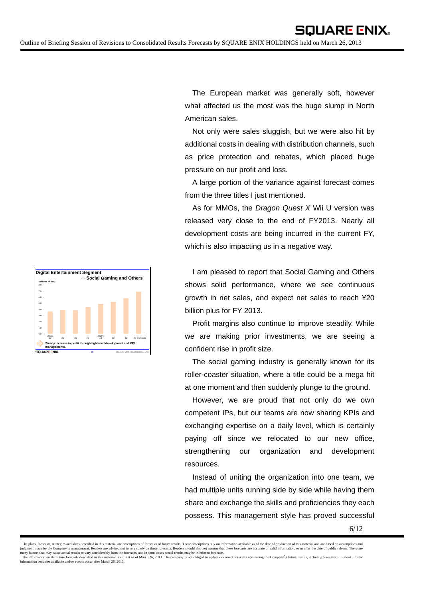

The European market was generally soft, however what affected us the most was the huge slump in North American sales.

Not only were sales sluggish, but we were also hit by additional costs in dealing with distribution channels, such as price protection and rebates, which placed huge pressure on our profit and loss.

A large portion of the variance against forecast comes from the three titles I just mentioned.

As for MMOs, the *Dragon Quest X* Wii U version was released very close to the end of FY2013. Nearly all development costs are being incurred in the current FY, which is also impacting us in a negative way.

I am pleased to report that Social Gaming and Others shows solid performance, where we see continuous growth in net sales, and expect net sales to reach ¥20 billion plus for FY 2013.

Profit margins also continue to improve steadily. While we are making prior investments, we are seeing a confident rise in profit size.

The social gaming industry is generally known for its roller-coaster situation, where a title could be a mega hit at one moment and then suddenly plunge to the ground.

However, we are proud that not only do we own competent IPs, but our teams are now sharing KPIs and exchanging expertise on a daily level, which is certainly paying off since we relocated to our new office, strengthening our organization and development resources.

Instead of uniting the organization into one team, we had multiple units running side by side while having them share and exchange the skills and proficiencies they each possess. This management style has proved successful

The plans, forecasts, strategies and ideas described in this material are descriptions of forecasts of future results. These descriptions rely on information available as of the date of production of this material and are judgment made by the Company's management. Readers are advised not to rely solely on these forecasts. Readers should also not assume that these forecasts are accurate or valid information, even after the date of public rel information becomes available and/or events occur after March 26, 2013.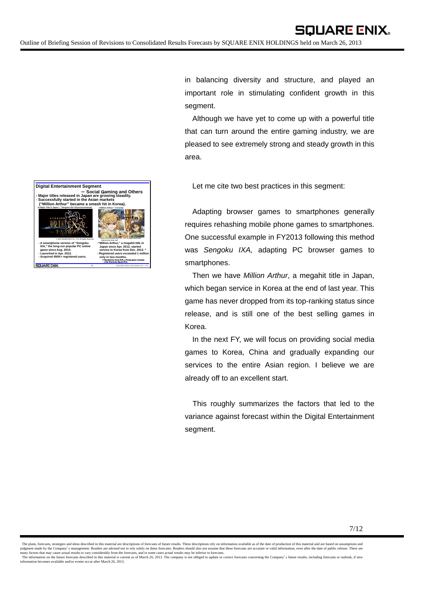**(A Major Title in Japan**- **"Sengoku IXA Chiyorozunohasya) ("Million Arthur " in Korea) Digital Entertainment Segment** - **Social** <sup>G</sup>**aming and Others - Major titles released in Japan are growing steadily.** - **Successfully started in the Asian markets ("Million Arthur" became a smash hit in Korea).**

**- A smartphone version of "Sengoku IXA," the long-run popular PC online game since Aug. 2010. - Launched in Apr. 2012.**

**- Acquired 450K+ registered users.**

**COLLA DE ENIX** 

**11** SQUARE ENIX HOLDINGS CO., LTD. © 2012 SQUARE ENIX CO., LTD. All Rights Reserved. ©2012-2013 SQUARE ENIX CO., LTD. All Rights Reserved. Published by Actoz Soft **-"Million Arthur," a megahit title in Japan since Apr. 2012, started service in Korea from Dec. 2012. \* - Registered users exceeded 1 million only in two months.** \*Operated by Actoz Soft, a Korean game company, under license by Square Enix.

in balancing diversity and structure, and played an important role in stimulating confident growth in this segment.

Although we have yet to come up with a powerful title that can turn around the entire gaming industry, we are pleased to see extremely strong and steady growth in this area.

Let me cite two best practices in this segment:

Adapting browser games to smartphones generally requires rehashing mobile phone games to smartphones. One successful example in FY2013 following this method was *Sengoku IXA,* adapting PC browser games to smartphones.

Then we have *Million Arthur*, a megahit title in Japan, which began service in Korea at the end of last year. This game has never dropped from its top-ranking status since release, and is still one of the best selling games in Korea.

In the next FY, we will focus on providing social media games to Korea, China and gradually expanding our services to the entire Asian region. I believe we are already off to an excellent start.

This roughly summarizes the factors that led to the variance against forecast within the Digital Entertainment segment.

The plans, forecasts, strategies and ideas described in this material are descriptions of forecasts of future results. These descriptions rely on information available as of the date of production of this material and are judgment made by the Company's management. Readers are advised not to rely solely on these forecasts. Readers should also not assume that these forecasts are accurate or valid information, even after the date of public rel information becomes available and/or events occur after March 26, 2013.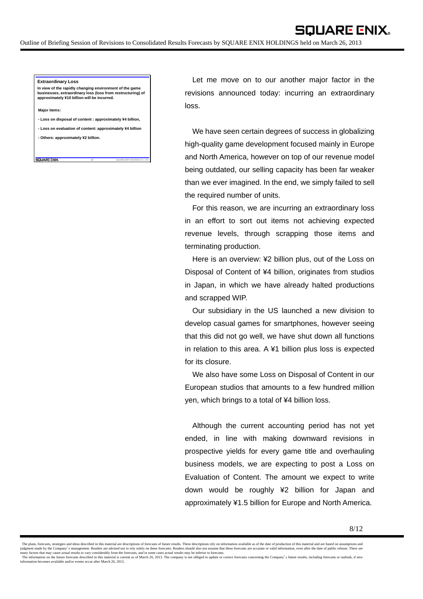## **Extraordinary Loss**

**In view of the rapidly changing environment of the game businesses, extraordinary loss (loss from restructuring) of approximately ¥10 billion will be incurred.**

**Major items:**

SOUARE ENIX

**- Loss on disposal of content : approximately ¥4 billion,**

**- Loss on evaluation of content: approximately ¥4 billion**

**12** SQUARE ENIX HOLDINGS CO., LTD.

**- Others: approximately ¥2 billion.**

Let me move on to our another major factor in the revisions announced today: incurring an extraordinary loss.

**SQUARE ENIX.** 

We have seen certain degrees of success in globalizing high-quality game development focused mainly in Europe and North America, however on top of our revenue model being outdated, our selling capacity has been far weaker than we ever imagined. In the end, we simply failed to sell the required number of units.

For this reason, we are incurring an extraordinary loss in an effort to sort out items not achieving expected revenue levels, through scrapping those items and terminating production.

Here is an overview: ¥2 billion plus, out of the Loss on Disposal of Content of ¥4 billion, originates from studios in Japan, in which we have already halted productions and scrapped WIP.

Our subsidiary in the US launched a new division to develop casual games for smartphones, however seeing that this did not go well, we have shut down all functions in relation to this area. A ¥1 billion plus loss is expected for its closure.

We also have some Loss on Disposal of Content in our European studios that amounts to a few hundred million yen, which brings to a total of ¥4 billion loss.

Although the current accounting period has not yet ended, in line with making downward revisions in prospective yields for every game title and overhauling business models, we are expecting to post a Loss on Evaluation of Content. The amount we expect to write down would be roughly ¥2 billion for Japan and approximately ¥1.5 billion for Europe and North America.

The plans, forecasts, strategies and ideas described in this material are descriptions of forecasts of future results. These descriptions rely on information available as of the date of production of this material and are judgment made by the Company's management. Readers are advised not to rely solely on these forecasts. Readers should also not assume that these forecasts are accurate or valid information, even after the date of public rel information becomes available and/or events occur after March 26, 2013.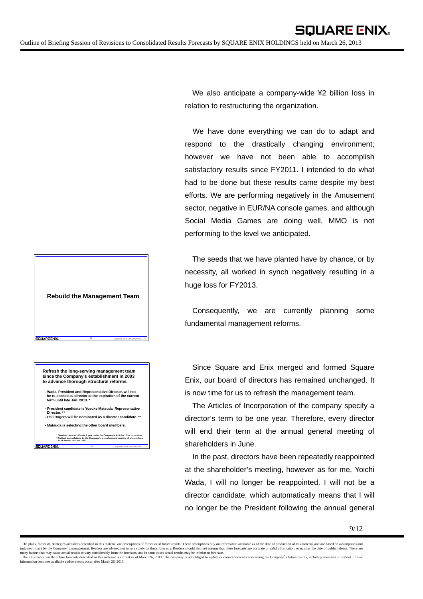We also anticipate a company-wide ¥2 billion loss in relation to restructuring the organization.

We have done everything we can do to adapt and respond to the drastically changing environment; however we have not been able to accomplish satisfactory results since FY2011. I intended to do what had to be done but these results came despite my best efforts. We are performing negatively in the Amusement sector, negative in EUR/NA console games, and although Social Media Games are doing well, MMO is not performing to the level we anticipated.

The seeds that we have planted have by chance, or by necessity, all worked in synch negatively resulting in a huge loss for FY2013.

Consequently, we are currently planning some fundamental management reforms.

Since Square and Enix merged and formed Square Enix, our board of directors has remained unchanged. It is now time for us to refresh the management team.

The Articles of Incorporation of the company specify a director's term to be one year. Therefore, every director will end their term at the annual general meeting of shareholders in June.

In the past, directors have been repeatedly reappointed at the shareholder's meeting, however as for me, Yoichi Wada, I will no longer be reappointed. I will not be a director candidate, which automatically means that I will no longer be the President following the annual general

**Rebuild the Management Team**

**Refresh the long-serving management team since the Company's establishment in 2003 to advance thorough structural reforms.**

**SOUARE ENIX** 

**13** SQUARE ENIX HOLDINGS CO., LTD.

**- Wada, President and Representative Director, will not be re-elected as director at the expiration of the current term until late Jun. 2013. \***

**- President candidate is Yosuke Matsuda, Representative Director. \*\* - Phil Rogers will be nominated as a director candidate. \*\***

**- Matsuda is selecting the other board members.**

**\* Directors' term of office is 1 year under the Company's Articles of Incorporation. \*\* Subject to resolutions by the Company's annual general meeting of shareholders to be held in late Jun. 2013.** SOLIARE ENIX.

**14** SQUARE ENIX HOLDINGS CO., LTD.

The plans, forecasts, strategies and ideas described in this material are descriptions of forecasts of future results. These descriptions rely on information available as of the date of production of this material and are judgment made by the Company's management. Readers are advised not to rely solely on these forecasts. Readers should also not assume that these forecasts are accurate or valid information, even after the date of public rel information becomes available and/or events occur after March 26, 2013.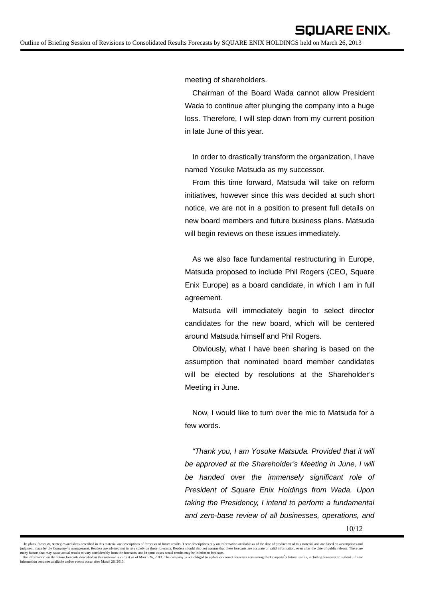meeting of shareholders.

Chairman of the Board Wada cannot allow President Wada to continue after plunging the company into a huge loss. Therefore, I will step down from my current position in late June of this year.

In order to drastically transform the organization, I have named Yosuke Matsuda as my successor.

From this time forward, Matsuda will take on reform initiatives, however since this was decided at such short notice, we are not in a position to present full details on new board members and future business plans. Matsuda will begin reviews on these issues immediately.

As we also face fundamental restructuring in Europe, Matsuda proposed to include Phil Rogers (CEO, Square Enix Europe) as a board candidate, in which I am in full agreement.

Matsuda will immediately begin to select director candidates for the new board, which will be centered around Matsuda himself and Phil Rogers.

Obviously, what I have been sharing is based on the assumption that nominated board member candidates will be elected by resolutions at the Shareholder's Meeting in June.

Now, I would like to turn over the mic to Matsuda for a few words.

*"Thank you, I am Yosuke Matsuda. Provided that it will be approved at the Shareholder's Meeting in June, I will be handed over the immensely significant role of President of Square Enix Holdings from Wada. Upon taking the Presidency, I intend to perform a fundamental and zero-base review of all businesses, operations, and* 

The plans, forecasts, strategies and ideas described in this material are descriptions of forecasts of future results. These descriptions rely on information available as of the date of production of this material and are judgment made by the Company's management. Readers are advised not to rely solely on these forecasts. Readers should also not assume that these forecasts are accurate or valid information, even after the date of public rel information becomes available and/or events occur after March 26, 2013.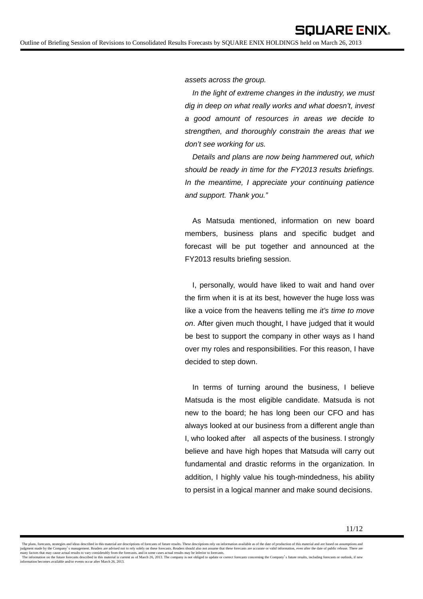*assets across the group.* 

*In the light of extreme changes in the industry, we must dig in deep on what really works and what doesn't, invest a good amount of resources in areas we decide to strengthen, and thoroughly constrain the areas that we don't see working for us.* 

*Details and plans are now being hammered out, which should be ready in time for the FY2013 results briefings. In the meantime, I appreciate your continuing patience and support. Thank you."* 

As Matsuda mentioned, information on new board members, business plans and specific budget and forecast will be put together and announced at the FY2013 results briefing session.

I, personally, would have liked to wait and hand over the firm when it is at its best, however the huge loss was like a voice from the heavens telling me *it's time to move on*. After given much thought, I have judged that it would be best to support the company in other ways as I hand over my roles and responsibilities. For this reason, I have decided to step down.

In terms of turning around the business, I believe Matsuda is the most eligible candidate. Matsuda is not new to the board; he has long been our CFO and has always looked at our business from a different angle than I, who looked after all aspects of the business. I strongly believe and have high hopes that Matsuda will carry out fundamental and drastic reforms in the organization. In addition, I highly value his tough-mindedness, his ability to persist in a logical manner and make sound decisions.

The plans, forecasts, strategies and ideas described in this material are descriptions of forecasts of future results. These descriptions rely on information available as of the date of production of this material and are judgment made by the Company's management. Readers are advised not to rely solely on these forecasts. Readers should also not assume that these forecasts are accurate or valid information, even after the date of public rel information becomes available and/or events occur after March 26, 2013.